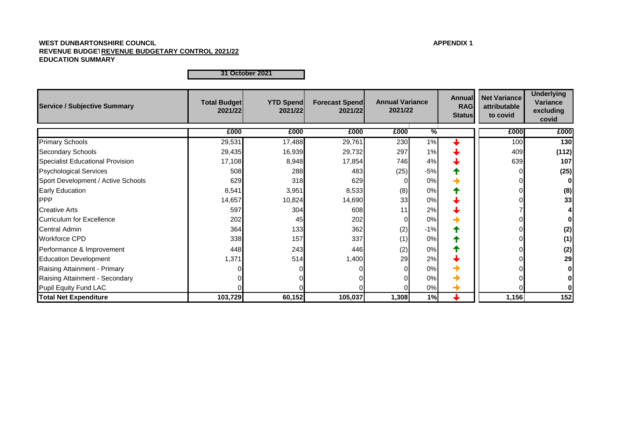# **WEST DUNBARTONSHIRE COUNCIL APPENDIX 1 REVENUE BUDGETARY CONTROL 2021/22 REVENUE BUDGETARY CONTROL 2021/22 EDUCATION SUMMARY**

**Total Budget 2021/22 YTD Spend 2021/22 Forecast Spend 2021/22 Annual RAG Status Net Variance attributable to covid Underlying Variance excluding covid £000 £000 £000 £000 % £000 £000** 29,531 17,488 29,761 230 1% <del>↓</del> || 100 1**30** 29,435 16,939 29,732 297 1% 409 **(112)** 17,108 8,948 17,854 746 4% 639 **107** 508 288 483 (25) -5% 0 **(25)** 629 318 629 0 0% 0 **0** 8,541 3,951 8,533 (8) 0% **4 |** 0 (8) 14,657 10,824 14,690 33 0% 0 **33** Creative Arts **608 11 597 12 597 12 12 12 12 11 1 1 1 1 1** 202 45 45 202 0 0% → 0 0 364 133 362 (2) -1% 0 **(2)** 338 157 337 (1) 0% <del>1</del> 0 Performance & Improvement **148** 448 243 446 (2) 0% **1** 0 (2) 0 (2) Education Development 1,371 514 1,400 29 2% 0 **29** Raising Attainment - Primary **Definition in the Unit of Contact Of Contact Of Contact Of Contact Of Contact Of Contact Of Contact Of Contact Of Contact Of Contact Of Contact Of Contact Of Contact Of Contact Of Contact Of** Provide Attainment - Secondary and the company of the company of the company of the company of the company of the company of the company of the company of the company of the company of the company of the company of the co Pupil Equity Fund LAC 0 0 0 0 0% 0 **0 103,729 60,152 105,037 1,308 1% 1,156 152** Specialist Educational Provision **Service / Subjective Summary Annual Variance Annual Variance Annual Variance Annual Variance Annual Variance Annual Variance Annual Variance Annual Variance Annual Variance Annual Variance Annual Var 2021/22** Primary Schools Secondary Schools Central Admin Workforce CPD **Total Net Expenditure** Psychological Services Sport Development / Active Schools Early Education **PPP** Curriculum for Excellence

**31 October 2021**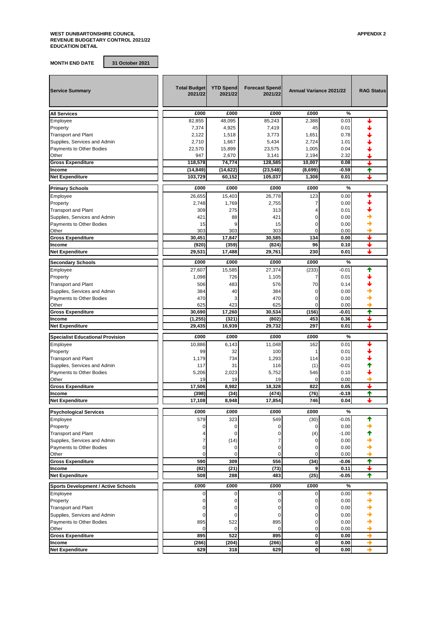**MONTH END DATE 31 October 2021**

| <b>Service Summary</b>                     | <b>Total Budget</b><br>2021/22 | <b>YTD Spend</b><br>2021/22 | <b>Forecast Spend</b><br>2021/22 | <b>Annual Variance 2021/22</b> |              | <b>RAG Status</b> |
|--------------------------------------------|--------------------------------|-----------------------------|----------------------------------|--------------------------------|--------------|-------------------|
| <b>All Services</b>                        | £000                           | £000                        | £000                             | £000                           | %            |                   |
| Employee                                   | 82.855                         | 48,095                      | 85,243                           | 2,388                          | 0.03         |                   |
| Property                                   | 7,374                          | 4,925                       | 7,419                            | 45                             | 0.01         |                   |
| <b>Transport and Plant</b>                 | 2,122                          | 1,518                       | 3,773                            | 1,651                          | 0.78         |                   |
| Supplies, Services and Admin               | 2,710                          | 1,667                       | 5,434                            | 2,724                          | 1.01         |                   |
| <b>Payments to Other Bodies</b>            |                                |                             |                                  | 1,005                          |              |                   |
|                                            | 22,570                         | 15,899                      | 23,575                           | 2,194                          | 0.04<br>2.32 |                   |
| Other                                      | 947                            | 2,670                       | 3,141                            |                                |              |                   |
| <b>Gross Expenditure</b>                   | 118,578                        | 74,774                      | 128,585                          | 10,007                         | 0.08         |                   |
| Income                                     | (14, 849)                      | (14, 622)                   | (23, 548)                        | (8,699)                        | $-0.59$      | ✦                 |
| <b>Net Expenditure</b>                     | 103,729                        | 60,152                      | 105,037                          | 1,308                          | 0.01         | ┻                 |
| <b>Primary Schools</b>                     | £000                           | £000                        | £000                             | £000                           | %            |                   |
| Employee                                   | 26,655                         | 15,403                      | 26,778                           | 123                            | 0.00         |                   |
| Property                                   | 2,748                          | 1,769                       | 2,755                            | 7                              | 0.00         |                   |
| <b>Transport and Plant</b>                 | 309                            | 275                         | 313                              | 4                              | 0.01         |                   |
| Supplies, Services and Admin               | 421                            | 88                          | 421                              | 0                              | 0.00         |                   |
| Payments to Other Bodies                   | 15                             | 9                           | 15                               | 0                              | 0.00         |                   |
| Other                                      | 303                            | 303                         | 303                              | 0                              | 0.00         |                   |
| <b>Gross Expenditure</b>                   | 30,451                         | 17,847                      | 30,585                           | 134                            | 0.00         |                   |
| Income                                     | (920)                          | (359)                       | (824)                            | 96                             | 0.10         | ┹                 |
| <b>Net Expenditure</b>                     | 29,531                         | 17,488                      | 29,761                           | 230                            | 0.01         | ┶                 |
|                                            |                                |                             |                                  |                                |              |                   |
| <b>Secondary Schools</b>                   | £000                           | £000                        | £000                             | £000                           | %            |                   |
| Employee                                   | 27,607                         | 15,585                      | 27,374                           | (233)                          | $-0.01$      | ♠                 |
| Property                                   | 1,098                          | 726                         | 1,105                            | 7                              | 0.01         |                   |
| <b>Transport and Plant</b>                 | 506                            | 483                         | 576                              | 70                             | 0.14         |                   |
| Supplies, Services and Admin               | 384                            | 40                          | 384                              | 0                              | 0.00         |                   |
| <b>Payments to Other Bodies</b>            | 470                            | 3                           | 470                              | 0                              | 0.00         |                   |
| Other                                      | 625                            | 423                         | 625                              | $\Omega$                       | 0.00         |                   |
| <b>Gross Expenditure</b>                   | 30,690                         | 17,260                      | 30,534                           | (156)                          | $-0.01$      | ↑                 |
| Income                                     | (1, 255)                       | (321)                       | (802)                            | 453                            | 0.36         | +                 |
| <b>Net Expenditure</b>                     | 29,435                         | 16,939                      | 29,732                           | 297                            | 0.01         |                   |
|                                            |                                |                             |                                  |                                |              |                   |
| <b>Specialist Educational Provision</b>    | £000                           | £000                        | £000                             | £000                           | %            |                   |
| Employee                                   | 10,886                         | 6,143                       | 11,048                           | 162                            | 0.01         |                   |
| Property                                   | 99                             | 32                          | 100                              | 1                              | 0.01         |                   |
| <b>Transport and Plant</b>                 | 1,179                          | 734                         | 1,293                            | 114                            | 0.10         |                   |
| Supplies, Services and Admin               | 117                            | 31                          | 116                              | (1)                            | $-0.01$      |                   |
| Payments to Other Bodies                   | 5,206                          | 2,023                       | 5,752                            | 546                            | 0.10         |                   |
| Other                                      | 19                             | 19                          | 19                               | 0                              | 0.00         |                   |
| <b>Gross Expenditure</b>                   | 17,506                         | 8,982                       | 18.328                           | 822                            | 0.05         | ┹                 |
| Income                                     | (398)                          | (34)                        | (474)                            | (76)                           | $-0.19$      | ✦                 |
| <b>Net Expenditure</b>                     | 17,108                         | 8,948                       | 17,854                           | 746                            | 0.04         |                   |
| <b>Psychological Services</b>              | £000                           | £000                        | £000                             | £000                           | %            |                   |
| Employee                                   | 579                            | 323                         | 549                              | (30)                           | $-0.05$      | ✦                 |
| Property                                   | 0                              | $\pmb{0}$                   | 0                                | 0                              | 0.00         |                   |
| <b>Transport and Plant</b>                 | 4                              | 0                           | $\mathbf 0$                      | (4)                            | $-1.00$      |                   |
| Supplies, Services and Admin               | 7                              | (14)                        | 7                                | 0                              | 0.00         |                   |
| Payments to Other Bodies                   | 0                              |                             | 0                                | 0                              | 0.00         |                   |
| Other                                      | 0                              | 0<br>$\mathbf 0$            | 0                                | 0                              | 0.00         |                   |
| <b>Gross Expenditure</b>                   | 590                            | 309                         | 556                              | (34)                           | $-0.06$      | ✦                 |
|                                            |                                |                             |                                  |                                |              | +                 |
| Income                                     | (82)                           | (21)                        | (73)                             | 9                              | 0.11         |                   |
| <b>Net Expenditure</b>                     | 508                            | 288                         | 483                              | (25)                           | $-0.05$      | ✦                 |
| <b>Sports Development / Active Schools</b> | £000                           | £000                        | £000                             | £000                           | %            |                   |
| Employee                                   | $\mathbf 0$                    | 0                           | $\mathbf 0$                      | 0                              | 0.00         | →                 |
| Property                                   | 0                              | 0                           | 0                                | 0                              | 0.00         |                   |
| <b>Transport and Plant</b>                 | 0                              | 0                           | $\Omega$                         | 0                              | 0.00         |                   |
| Supplies, Services and Admin               | 0                              | 0                           | 0                                | 0                              | 0.00         |                   |
| Payments to Other Bodies                   | 895                            | 522                         | 895                              | 0                              | 0.00         |                   |
| Other                                      | $\mathbf 0$                    | $\mathbf 0$                 | 0                                | 0                              | 0.00         |                   |
|                                            | 895                            | 522                         | 895                              | $\bf{0}$                       | 0.00         | →                 |
| <b>Gross Expenditure</b>                   |                                |                             |                                  | 0                              |              |                   |
| Income                                     | (266)                          | (204)                       | (266)                            |                                | 0.00         | →                 |
| <b>Net Expenditure</b>                     | 629                            | 318                         | 629                              | 0                              | 0.00         |                   |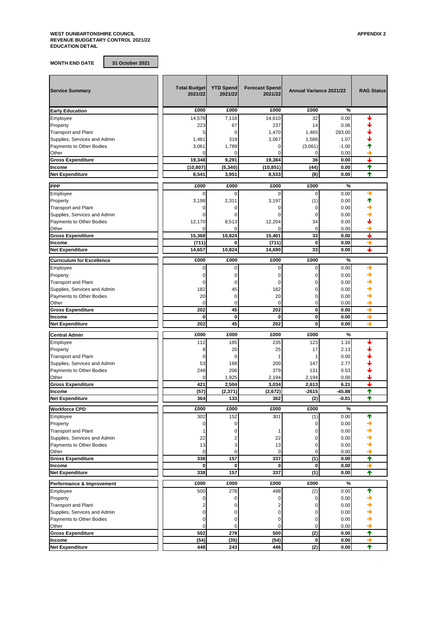#### **WEST DUNBARTONSHIRE COUNCIL APPENDIX 2 REVENUE BUDGETARY CONTROL 2021/22 EDUCATION DETAIL**

**MONTH END DATE 31 October 2021**

| <b>Service Summary</b>                                     | <b>Total Budget</b><br>2021/22 | <b>YTD Spend</b><br>2021/22 | <b>Forecast Spend</b><br>2021/22       | <b>Annual Variance 2021/22</b> |              | <b>RAG Status</b> |
|------------------------------------------------------------|--------------------------------|-----------------------------|----------------------------------------|--------------------------------|--------------|-------------------|
| <b>Early Education</b>                                     | £000                           | £000                        | £000                                   | £000                           | %            |                   |
| Employee                                                   | 14,578                         | 7,116                       | 14,610                                 | 32                             | 0.00         |                   |
| Property                                                   | 223                            | 67                          | 237                                    | 14                             | 0.06         |                   |
| <b>Transport and Plant</b>                                 | 5                              | 0                           | 1,470                                  | 1,465                          | 293.00       |                   |
| Supplies, Services and Admin                               | 1,481                          | 319                         | 3,067                                  | 1,586                          | 1.07         |                   |
| <b>Payments to Other Bodies</b>                            | 3,061                          | 1,789                       | 0                                      | (3,061)                        | $-1.00$      |                   |
| Other                                                      | 0                              | 0                           | $\Omega$                               | 0                              | 0.00         |                   |
| <b>Gross Expenditure</b>                                   | 19,348                         | 9,291                       | 19,384                                 | 36                             | 0.00         |                   |
| Income                                                     | (10, 807)                      | (5, 340)                    | (10, 851)                              | (44)                           | 0.00         | ✦                 |
| <b>Net Expenditure</b>                                     | 8,541                          | 3,951                       | 8,533                                  | (8)                            | 0.00         | ✦                 |
| <b>PPP</b>                                                 | £000                           | £000                        | £000                                   | £000                           | %            |                   |
| Employee                                                   | $\Omega$                       | $\Omega$                    | 0                                      | 0                              | 0.00         | →                 |
| Property                                                   | 3,198                          | 2,311                       | 3,197                                  | (1)                            | 0.00         |                   |
| <b>Transport and Plant</b>                                 | 0                              | 0                           | 0                                      | 0                              | 0.00         |                   |
| Supplies, Services and Admin                               | $\Omega$                       | 0                           | 0                                      | 0                              | 0.00         |                   |
| Payments to Other Bodies                                   | 12,170                         | 8,513                       | 12,204                                 | 34                             | 0.00         |                   |
| Other                                                      | $\Omega$                       | $\Omega$                    | $\Omega$                               | 0                              | 0.00         |                   |
| <b>Gross Expenditure</b>                                   | 15,368                         | 10,824                      | 15,401                                 | 33                             | 0.00         | ┺                 |
| Income                                                     | (711)                          | 0                           | (711)                                  | 0                              | 0.00         | →                 |
| <b>Net Expenditure</b>                                     | 14,657                         | 10,824                      | 14,690                                 | 33                             | 0.00         | ┹                 |
| <b>Curriculum for Excellence</b>                           | £000                           | £000                        | £000                                   | £000                           | %            |                   |
| Employee                                                   | 0                              | 0                           | 0                                      | 0                              | 0.00         | →                 |
| Property                                                   | 0                              | 0                           | 0                                      | 0                              | 0.00         |                   |
| <b>Transport and Plant</b>                                 | 0                              | $\Omega$                    | 0                                      | 0                              | 0.00         |                   |
| Supplies, Services and Admin                               | 182                            | 45                          | 182                                    | 0                              | 0.00         |                   |
| <b>Payments to Other Bodies</b>                            | 20                             | 0                           | 20                                     | 0                              | 0.00         |                   |
| Other                                                      | $\mathbf 0$                    | 0                           | $\Omega$                               | 0                              | 0.00         |                   |
| <b>Gross Expenditure</b>                                   | 202                            | 45                          | 202                                    | 0                              | 0.00         | →                 |
| Income                                                     | 0                              | $\mathbf 0$                 | 0                                      | $\mathbf 0$                    | 0.00         | →                 |
| <b>Net Expenditure</b>                                     | 202                            | 45                          | 202                                    | $\bf{0}$                       | 0.00         | →                 |
|                                                            | £000                           | £000                        | £000                                   | £000                           | %            |                   |
| <b>Central Admin</b>                                       |                                |                             |                                        |                                |              |                   |
| Employee                                                   | 112                            | 185<br>20                   | 235                                    | 123<br>17                      | 1.10         |                   |
| Property<br><b>Transport and Plant</b>                     | 8<br>$\mathbf 0$               | 0                           | 25                                     |                                | 2.13<br>0.00 |                   |
| Supplies, Services and Admin                               | 53                             | 168                         | 200                                    | 147                            | 2.77         |                   |
| Payments to Other Bodies                                   | 248                            | 206                         | 379                                    | 131                            | 0.53         |                   |
| Other                                                      | 0                              | 1,925                       | 2,194                                  | 2,194                          | 0.00         |                   |
| <b>Gross Expenditure</b>                                   | 421                            | 2,504                       | 3,034                                  | 2,613                          | 6.21         | ı                 |
| Income                                                     | (57)                           | (2, 371)                    | (2,672)                                | $-2615$                        | $-45.88$     | ✦                 |
| <b>Net Expenditure</b>                                     | 364                            | 133                         | 362                                    | (2)                            | -0.01        | ✦                 |
|                                                            |                                |                             |                                        |                                |              |                   |
| <b>Workforce CPD</b>                                       | £000                           | £000                        | £000                                   | £000                           | %            |                   |
| Employee                                                   | 302                            | 152                         | 301                                    | (1)                            | 0.00         | ←                 |
| Property<br><b>Transport and Plant</b>                     | $\mathbf 0$<br>1               | 0<br>0                      | 1                                      | 0<br>$\Omega$                  | 0.00<br>0.00 |                   |
| Supplies, Services and Admin                               | 22                             |                             | 22                                     | 0                              | 0.00         |                   |
| Payments to Other Bodies                                   | 13                             | 3                           | 13                                     | 0                              | 0.00         |                   |
| Other                                                      | $\mathbf 0$                    | 0                           | $\mathbf 0$                            | 0                              | 0.00         |                   |
| <b>Gross Expenditure</b>                                   | 338                            | 157                         | 337                                    | (1)                            | 0.00         | ✦                 |
| Income                                                     | $\mathbf 0$                    | $\mathbf 0$                 | 0                                      | 0                              | 0.00         | →                 |
| <b>Net Expenditure</b>                                     | 338                            | 157                         | 337                                    | (1)                            | 0.00         | ✦                 |
|                                                            | £000                           | £000                        | £000                                   | £000                           | $\%$         |                   |
| Performance & Improvement                                  | 500                            |                             |                                        |                                |              | ✦                 |
| Employee                                                   |                                | 278                         | 498                                    | (2)                            | 0.00         |                   |
| Property                                                   | 0                              | 0                           | 0                                      | 0                              | 0.00         |                   |
| <b>Transport and Plant</b><br>Supplies, Services and Admin | $\overline{2}$<br>$\mathbf 0$  | 0<br>$\Omega$               | $\overline{\mathbf{c}}$<br>$\mathbf 0$ | 0<br>0                         | 0.00<br>0.00 |                   |
| Payments to Other Bodies                                   | 0                              | 0                           | 0                                      | 0                              | 0.00         |                   |
| Other                                                      | 0                              | 0                           | 0                                      | 0                              | 0.00         |                   |
| <b>Gross Expenditure</b>                                   | 502                            | 278                         | 500                                    | (2)                            | 0.00         | ↑                 |
| Income                                                     | (54)                           | (35)                        | (54)                                   | 0                              | 0.00         | →                 |
| <b>Net Expenditure</b>                                     | 448                            | 243                         | 446                                    | (2)                            | 0.00         | ✦                 |
|                                                            |                                |                             |                                        |                                |              |                   |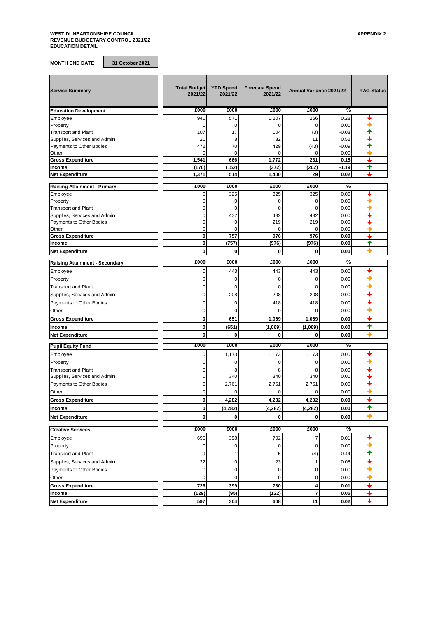**MONTH END DATE 31 October 2021**

| <b>Service Summary</b>                                     | <b>Total Budget</b><br>2021/22 | <b>YTD Spend</b><br>2021/22 | <b>Forecast Spend</b><br>2021/22 | Annual Variance 2021/22 |                     | <b>RAG Status</b>        |
|------------------------------------------------------------|--------------------------------|-----------------------------|----------------------------------|-------------------------|---------------------|--------------------------|
| <b>Education Development</b>                               | £000                           | £000                        | £000                             | £000                    | %                   |                          |
| Employee                                                   | 941                            | 571                         | 1,207                            | 266                     | 0.28                |                          |
| Property                                                   | 0                              | 0                           | 0                                | 0                       | 0.00                |                          |
| <b>Transport and Plant</b>                                 | 107                            | 17                          | 104                              | (3)                     | $-0.03$             |                          |
| Supplies, Services and Admin                               | 21                             | 8                           | 32                               | 11                      | 0.52                |                          |
| Payments to Other Bodies                                   | 472                            | 70                          | 429                              | (43)                    | $-0.09$             |                          |
| Other                                                      | 0                              | 0                           | 0                                | 0                       | 0.00                | ┶                        |
| <b>Gross Expenditure</b>                                   | 1,541<br>(170)                 | 666<br>(152)                | 1,772<br>(372)                   | 231<br>(202)            | 0.15<br>$-1.19$     | ♠                        |
| Income<br><b>Net Expenditure</b>                           | 1,371                          | 514                         | 1,400                            | 29                      | 0.02                |                          |
|                                                            |                                |                             |                                  |                         |                     |                          |
| <b>Raising Attainment - Primary</b>                        | £000                           | £000                        | £000                             | £000                    | %                   |                          |
| Employee                                                   | 0                              | 325                         | 325                              | 325                     | 0.00                |                          |
| Property                                                   | 0                              | 0                           | 0                                | 0                       | 0.00                |                          |
| <b>Transport and Plant</b>                                 | $\Omega$                       | 0                           | 0                                | 0                       | 0.00                |                          |
| Supplies, Services and Admin                               | 0                              | 432                         | 432                              | 432                     | 0.00                |                          |
| Payments to Other Bodies                                   | $\mathbf 0$                    | $\mathbf 0$                 | 219                              | 219                     | 0.00                |                          |
| Other                                                      | 0                              | 0                           | 0                                | $\Omega$                | 0.00                |                          |
| <b>Gross Expenditure</b><br>Income                         | $\mathbf{0}$<br>$\mathbf 0$    | 757<br>(757)                | 976<br>(976)                     | 976<br>(976)            | 0.00<br>0.00        | $\blacklozenge$          |
|                                                            | 0                              | $\bf{0}$                    |                                  | 0                       |                     | →                        |
| <b>Net Expenditure</b>                                     |                                |                             | 0                                |                         | 0.00                |                          |
| <b>Raising Attainment - Secondary</b>                      | £000                           | £000                        | £000                             | £000                    | %                   |                          |
| Employee                                                   | 0                              | 443                         | 443                              | 443                     | 0.00                |                          |
| Property                                                   | $\Omega$                       | 0                           | 0                                | 0                       | 0.00                |                          |
| <b>Transport and Plant</b>                                 | 0                              | 0                           | 0                                | 0                       | 0.00                |                          |
| Supplies, Services and Admin                               | 0                              | 208                         | 208                              | 208                     | 0.00                |                          |
| Payments to Other Bodies                                   | $\Omega$                       | 0                           | 418                              | 418                     | 0.00                |                          |
| Other                                                      | 0                              | 0                           | O                                | $\Omega$                | 0.00                |                          |
| <b>Gross Expenditure</b>                                   | $\mathbf 0$                    | 651                         | 1,069                            | 1,069                   | 0.00                | ┹                        |
| Income                                                     | $\mathbf 0$                    | (651)                       | (1,069)                          | (1,069)                 | 0.00                | $\ddot{\phantom{1}}$     |
| <b>Net Expenditure</b>                                     | 0                              | $\bf{0}$                    | 0                                | 0                       | 0.00                | →                        |
|                                                            | £000                           | £000                        | £000                             | £000                    | %                   |                          |
| <b>Pupil Equity Fund</b>                                   |                                |                             |                                  |                         |                     |                          |
| Employee                                                   | 0                              | 1,173                       | 1,173                            | 1,173                   | 0.00                |                          |
| Property                                                   | 0                              | 0                           | 0                                | 0                       | 0.00                |                          |
| <b>Transport and Plant</b><br>Supplies, Services and Admin | 0<br>0                         | 8<br>340                    | 8<br>340                         | 8<br>340                | 0.00<br>0.00        |                          |
|                                                            | 0                              |                             | 2,761                            | 2,761                   |                     |                          |
| Payments to Other Bodies                                   |                                | 2,761                       |                                  |                         | 0.00                |                          |
| Other                                                      | 0                              | O                           |                                  | U                       | 0.00                |                          |
| <b>Gross Expenditure</b>                                   | 0                              | 4,282                       | 4,282                            | 4,282                   | 0.00                |                          |
| Income                                                     | $\mathbf{0}$                   | (4, 282)                    | (4, 282)                         | (4, 282)                | $\boldsymbol{0.00}$ | ↑                        |
| <b>Net Expenditure</b>                                     | $\mathbf 0$                    | $\mathbf{0}$                | 0                                | $\mathbf{0}$            | 0.00                | $\rightarrow$            |
| <b>Creative Services</b>                                   | £000                           | £000                        | £000                             | £000                    | %                   |                          |
| Employee                                                   | 695                            | 398                         | 702                              | 7                       | 0.01                |                          |
| Property                                                   | 0                              | $\mathbf 0$                 | 0                                | 0                       | 0.00                |                          |
| <b>Transport and Plant</b>                                 | 9                              |                             | 5                                | (4)                     | $-0.44$             |                          |
| Supplies, Services and Admin                               | 22                             | 0                           | 23                               | 1                       | 0.05                |                          |
| Payments to Other Bodies                                   | $\pmb{0}$                      | 0                           | 0                                | 0                       | 0.00                |                          |
|                                                            | 0                              | 0                           | 0                                | 0                       |                     |                          |
| Other                                                      |                                |                             |                                  |                         | 0.00                | $\ddot{\phantom{1}}$     |
| <b>Gross Expenditure</b>                                   | 726                            | 399                         | 730                              | 4                       | 0.01                | ↓                        |
| Income                                                     | (129)                          | (95)                        | (122)                            | 7                       | 0.05                | $\overline{\phantom{0}}$ |
| <b>Net Expenditure</b>                                     | 597                            | 304                         | 608                              | 11                      | 0.02                |                          |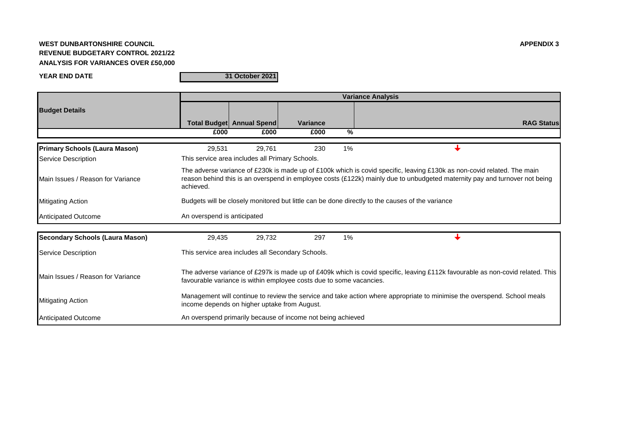# **WEST DUNBARTONSHIRE COUNCIL APPENDIX 3 REVENUE BUDGETARY CONTROL 2021/22 ANALYSIS FOR VARIANCES OVER £50,000**

**YEAR END DATE**

**31 October 2021**

|                                        | <b>Variance Analysis</b>                                                                                                                                                                                                                                           |                                                                                                                                                                          |                                                                     |    |                                                                                                                                |  |  |  |  |
|----------------------------------------|--------------------------------------------------------------------------------------------------------------------------------------------------------------------------------------------------------------------------------------------------------------------|--------------------------------------------------------------------------------------------------------------------------------------------------------------------------|---------------------------------------------------------------------|----|--------------------------------------------------------------------------------------------------------------------------------|--|--|--|--|
| <b>Budget Details</b>                  |                                                                                                                                                                                                                                                                    |                                                                                                                                                                          |                                                                     |    |                                                                                                                                |  |  |  |  |
|                                        |                                                                                                                                                                                                                                                                    | <b>Total Budget Annual Spend</b>                                                                                                                                         | <b>Variance</b>                                                     |    | <b>RAG Status</b>                                                                                                              |  |  |  |  |
|                                        | £000                                                                                                                                                                                                                                                               | £000                                                                                                                                                                     | £000                                                                | %  |                                                                                                                                |  |  |  |  |
| <b>Primary Schools (Laura Mason)</b>   | 29,531                                                                                                                                                                                                                                                             | 29,761                                                                                                                                                                   | 230                                                                 | 1% |                                                                                                                                |  |  |  |  |
| Service Description                    | This service area includes all Primary Schools.                                                                                                                                                                                                                    |                                                                                                                                                                          |                                                                     |    |                                                                                                                                |  |  |  |  |
| Main Issues / Reason for Variance      | The adverse variance of £230k is made up of £100k which is covid specific, leaving £130k as non-covid related. The main<br>reason behind this is an overspend in employee costs (£122k) mainly due to unbudgeted maternity pay and turnover not being<br>achieved. |                                                                                                                                                                          |                                                                     |    |                                                                                                                                |  |  |  |  |
| <b>Mitigating Action</b>               |                                                                                                                                                                                                                                                                    | Budgets will be closely monitored but little can be done directly to the causes of the variance                                                                          |                                                                     |    |                                                                                                                                |  |  |  |  |
| Anticipated Outcome                    | An overspend is anticipated                                                                                                                                                                                                                                        |                                                                                                                                                                          |                                                                     |    |                                                                                                                                |  |  |  |  |
| <b>Secondary Schools (Laura Mason)</b> | 29,435                                                                                                                                                                                                                                                             | 29,732                                                                                                                                                                   | 297                                                                 | 1% |                                                                                                                                |  |  |  |  |
| Service Description                    |                                                                                                                                                                                                                                                                    |                                                                                                                                                                          | This service area includes all Secondary Schools.                   |    |                                                                                                                                |  |  |  |  |
| Main Issues / Reason for Variance      |                                                                                                                                                                                                                                                                    |                                                                                                                                                                          | favourable variance is within employee costs due to some vacancies. |    | The adverse variance of £297k is made up of £409k which is covid specific, leaving £112k favourable as non-covid related. This |  |  |  |  |
| <b>Mitigating Action</b>               |                                                                                                                                                                                                                                                                    | Management will continue to review the service and take action where appropriate to minimise the overspend. School meals<br>income depends on higher uptake from August. |                                                                     |    |                                                                                                                                |  |  |  |  |
| Anticipated Outcome                    |                                                                                                                                                                                                                                                                    |                                                                                                                                                                          | An overspend primarily because of income not being achieved         |    |                                                                                                                                |  |  |  |  |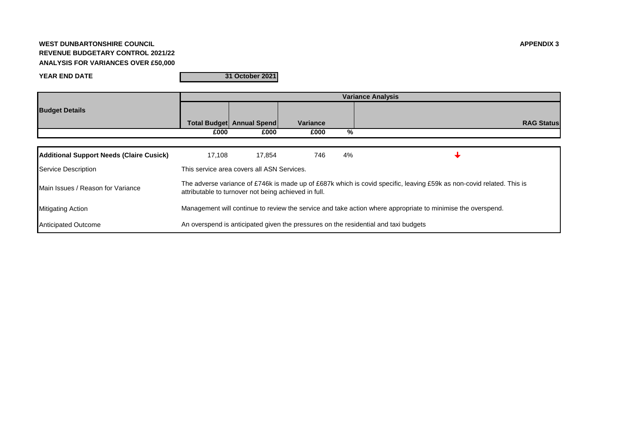# **WEST DUNBARTONSHIRE COUNCIL APPENDIX 3 REVENUE BUDGETARY CONTROL 2021/22 ANALYSIS FOR VARIANCES OVER £50,000**

**YEAR END DATE**

**31 October 2021**

|                                          |                                            |                                                                                                                                                                               |                 |    | <b>Variance Analysis</b>                                                                                    |  |  |  |
|------------------------------------------|--------------------------------------------|-------------------------------------------------------------------------------------------------------------------------------------------------------------------------------|-----------------|----|-------------------------------------------------------------------------------------------------------------|--|--|--|
| <b>Budget Details</b>                    |                                            |                                                                                                                                                                               |                 |    |                                                                                                             |  |  |  |
|                                          |                                            | <b>Total Budget Annual Spend</b>                                                                                                                                              | <b>Variance</b> |    | <b>RAG Status</b>                                                                                           |  |  |  |
|                                          | £000                                       | £000                                                                                                                                                                          | £000            | %  |                                                                                                             |  |  |  |
|                                          |                                            |                                                                                                                                                                               |                 |    |                                                                                                             |  |  |  |
| Additional Support Needs (Claire Cusick) | 17.108                                     | 17,854                                                                                                                                                                        | 746             | 4% |                                                                                                             |  |  |  |
| Service Description                      | This service area covers all ASN Services. |                                                                                                                                                                               |                 |    |                                                                                                             |  |  |  |
| Main Issues / Reason for Variance        |                                            | The adverse variance of £746k is made up of £687k which is covid specific, leaving £59k as non-covid related. This is<br>attributable to turnover not being achieved in full. |                 |    |                                                                                                             |  |  |  |
| <b>Mitigating Action</b>                 |                                            |                                                                                                                                                                               |                 |    | Management will continue to review the service and take action where appropriate to minimise the overspend. |  |  |  |
| <b>Anticipated Outcome</b>               |                                            |                                                                                                                                                                               |                 |    | An overspend is anticipated given the pressures on the residential and taxi budgets                         |  |  |  |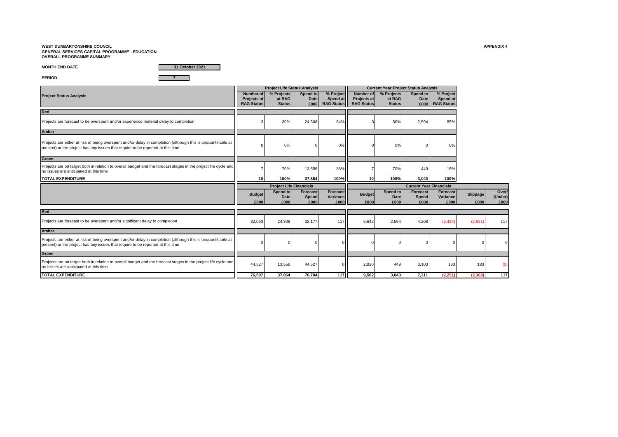## **WEST DUNBARTONSHIRE COUNCIL APPENDIX 4 GENERAL SERVICES CAPITAL PROGRAMME - EDUCATION OVERALL PROGRAMME SUMMARY**

**MONTH END DATE**

**31 October 2021**

**PERIOD 7**

|                                                                                                                                                                                                  |                                                      | <b>Project Life Status Analysis</b>   |                                 |                                            |                                                             | <b>Current Year Project Status Analysis</b> |                                |                                            |          |                  |
|--------------------------------------------------------------------------------------------------------------------------------------------------------------------------------------------------|------------------------------------------------------|---------------------------------------|---------------------------------|--------------------------------------------|-------------------------------------------------------------|---------------------------------------------|--------------------------------|--------------------------------------------|----------|------------------|
| <b>Project Status Analysis</b>                                                                                                                                                                   | Number of<br><b>Projects at</b><br><b>RAG Status</b> | % Projects<br>at RAG<br><b>Status</b> | Spend to<br><b>Date</b><br>£000 | % Project<br>Spend at<br><b>RAG Status</b> | <b>Number of</b><br><b>Projects at</b><br><b>RAG Status</b> | % Projects<br>at RAG<br><b>Status</b>       | Spend to<br>Date<br>£000       | % Project<br>Spend at<br><b>RAG Status</b> |          |                  |
| Red                                                                                                                                                                                              |                                                      |                                       |                                 |                                            |                                                             |                                             |                                |                                            |          |                  |
| Projects are forecast to be overspent and/or experience material delay to completion                                                                                                             |                                                      | 30%                                   | 24,308                          | 64%                                        |                                                             | 30%                                         | 2,594                          | 85%                                        |          |                  |
| <b>Amber</b>                                                                                                                                                                                     |                                                      |                                       |                                 |                                            |                                                             |                                             |                                |                                            |          |                  |
| Projects are either at risk of being overspent and/or delay in completion (although this is unquantifiable at<br>present) or the project has any issues that require to be reported at this time |                                                      | 0%                                    |                                 | 0%                                         |                                                             | 0%                                          |                                | 0%                                         |          |                  |
| Green                                                                                                                                                                                            |                                                      |                                       |                                 |                                            |                                                             |                                             |                                |                                            |          |                  |
| Projects are on target both in relation to overall budget and the forecast stages in the project life cycle and<br>no issues are anticipated at this time                                        |                                                      | 70%                                   | 13,556                          | 36%                                        |                                                             | 70%                                         | 449                            | 15%                                        |          |                  |
| <b>TOTAL EXPENDITURE</b>                                                                                                                                                                         | 10                                                   | 100%                                  | 37.864                          | 100%                                       | 10 <sup>1</sup>                                             | 100%                                        | 3.043                          | 100%                                       |          |                  |
|                                                                                                                                                                                                  |                                                      | <b>Project Life Financials</b>        |                                 |                                            |                                                             |                                             | <b>Current Year Financials</b> |                                            |          |                  |
|                                                                                                                                                                                                  | <b>Budget</b>                                        | Spend to<br>Date                      | <b>Forecast</b>                 | Forecast                                   | <b>Budget</b>                                               | Spend to                                    | <b>Forecast</b><br>Spend       | <b>Forecast</b><br>Variance                | Slippage | Over/<br>(Under) |
|                                                                                                                                                                                                  | £000                                                 | £000                                  | Spend<br>£000                   | Variance<br>£000                           | £000                                                        | Date<br>£000                                | £000                           | £000                                       | £000     | £000             |
| Red                                                                                                                                                                                              |                                                      |                                       |                                 |                                            |                                                             |                                             |                                |                                            |          |                  |
| Projects are forecast to be overspent and/or significant delay to completion                                                                                                                     | 32,060                                               | 24,308                                | 32,177                          | 117                                        | 6,642                                                       | 2,594                                       | 4,208                          | (2, 434)                                   | (2,551)  | 117              |
| <b>Amber</b>                                                                                                                                                                                     |                                                      |                                       |                                 |                                            |                                                             |                                             |                                |                                            |          |                  |
| Projects are either at risk of being overspent and/or delay in completion (although this is unquantifiable at<br>present) or the project has any issues that require to be reported at this time |                                                      |                                       |                                 |                                            |                                                             |                                             |                                |                                            |          |                  |
| Green                                                                                                                                                                                            |                                                      |                                       |                                 |                                            |                                                             |                                             |                                |                                            |          |                  |
| Projects are on target both in relation to overall budget and the forecast stages in the project life cycle and<br>no issues are anticipated at this time                                        | 44,527                                               | 13,556                                | 44,527                          |                                            | 2,920                                                       | 449                                         | 3,103                          | 183                                        | 183      | $\alpha$         |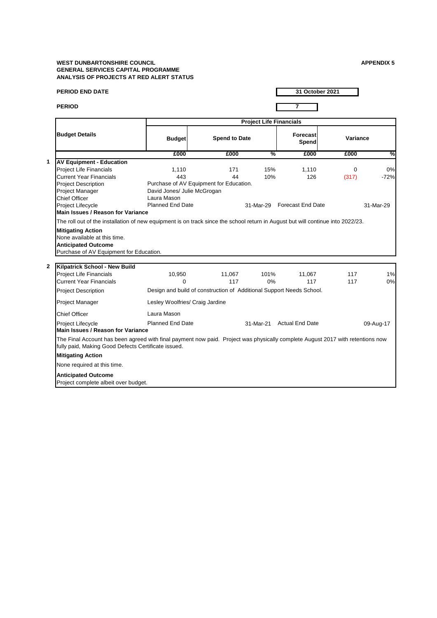## **WEST DUNBARTONSHIRE COUNCIL GENERAL SERVICES CAPITAL PROGRAMME ANALYSIS OF PROJECTS AT RED ALERT STATUS**

| <b>APPENDIX 5</b> |  |  |  |
|-------------------|--|--|--|

| <b>PERIOD END DATE</b>                                                                                                                                                                |                                                                      |                      |                                | 31 October 2021             |          |           |
|---------------------------------------------------------------------------------------------------------------------------------------------------------------------------------------|----------------------------------------------------------------------|----------------------|--------------------------------|-----------------------------|----------|-----------|
| <b>PERIOD</b>                                                                                                                                                                         |                                                                      |                      |                                | $\overline{7}$              |          |           |
|                                                                                                                                                                                       |                                                                      |                      | <b>Project Life Financials</b> |                             |          |           |
| <b>Budget Details</b>                                                                                                                                                                 | <b>Budget</b>                                                        | <b>Spend to Date</b> |                                | <b>Forecast</b><br>Spend    | Variance |           |
|                                                                                                                                                                                       | £000                                                                 | £000                 | %                              | £000                        | £000     | %         |
| <b>AV Equipment - Education</b>                                                                                                                                                       |                                                                      |                      |                                |                             |          |           |
| <b>Project Life Financials</b>                                                                                                                                                        | 1,110                                                                | 171                  | 15%                            | 1,110                       | $\Omega$ | 0%        |
| <b>Current Year Financials</b>                                                                                                                                                        | 443                                                                  | 44                   | 10%                            | 126                         | (317)    | $-72%$    |
| <b>Project Description</b>                                                                                                                                                            | Purchase of AV Equipment for Education.                              |                      |                                |                             |          |           |
| Project Manager                                                                                                                                                                       | David Jones/ Julie McGrogan                                          |                      |                                |                             |          |           |
| Chief Officer                                                                                                                                                                         | Laura Mason                                                          |                      |                                |                             |          |           |
| Project Lifecycle                                                                                                                                                                     | <b>Planned End Date</b>                                              |                      |                                | 31-Mar-29 Forecast End Date |          | 31-Mar-29 |
| Main Issues / Reason for Variance<br>The roll out of the installation of new equipment is on track since the school return in August but will continue into 2022/23.                  |                                                                      |                      |                                |                             |          |           |
| <b>Anticipated Outcome</b><br>Purchase of AV Equipment for Education.<br>$\overline{2}$<br>Kilpatrick School - New Build                                                              |                                                                      |                      |                                |                             |          |           |
| <b>Project Life Financials</b>                                                                                                                                                        | 10,950                                                               | 11,067               | 101%                           | 11,067                      | 117      | 1%        |
| <b>Current Year Financials</b>                                                                                                                                                        | $\Omega$                                                             | 117                  | 0%                             | 117                         | 117      | 0%        |
| <b>Project Description</b>                                                                                                                                                            | Design and build of construction of Additional Support Needs School. |                      |                                |                             |          |           |
| Project Manager                                                                                                                                                                       | Lesley Woolfries/ Craig Jardine                                      |                      |                                |                             |          |           |
| <b>Chief Officer</b>                                                                                                                                                                  | Laura Mason                                                          |                      |                                |                             |          |           |
| Project Lifecycle<br><b>Main Issues / Reason for Variance</b>                                                                                                                         | Planned End Date                                                     |                      |                                | 31-Mar-21 Actual End Date   |          | 09-Aug-17 |
| The Final Account has been agreed with final payment now paid. Project was physically complete August 2017 with retentions now<br>fully paid, Making Good Defects Certificate issued. |                                                                      |                      |                                |                             |          |           |
| <b>Mitigating Action</b>                                                                                                                                                              |                                                                      |                      |                                |                             |          |           |
| None required at this time.                                                                                                                                                           |                                                                      |                      |                                |                             |          |           |
| <b>Anticipated Outcome</b>                                                                                                                                                            |                                                                      |                      |                                |                             |          |           |
| Project complete albeit over budget.                                                                                                                                                  |                                                                      |                      |                                |                             |          |           |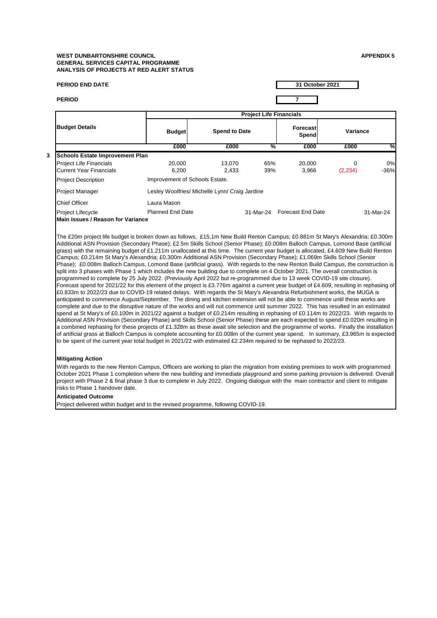### **WEST DUNBARTONSHIRE COUNCIL APPENDIX 5 GENERAL SERVICES CAPITAL PROGRAMME ANALYSIS OF PROJECTS AT RED ALERT STATUS**

| <b>PERIOD END DATE</b>                                                                                                                                                                                                                                                                                                                                                                                                                                                                                                                                                                                                                                                                                                                                                                                                                                                                                                                                                                                                                                                                                                                                                                                                                                                                                                                                                                                                                                                                                                                                                                                                                                                                                                                                                                                                                                                                                                                                                                                                                                                                                                                                               |                                                |                      |                                | 31 October 2021             |          |           |
|----------------------------------------------------------------------------------------------------------------------------------------------------------------------------------------------------------------------------------------------------------------------------------------------------------------------------------------------------------------------------------------------------------------------------------------------------------------------------------------------------------------------------------------------------------------------------------------------------------------------------------------------------------------------------------------------------------------------------------------------------------------------------------------------------------------------------------------------------------------------------------------------------------------------------------------------------------------------------------------------------------------------------------------------------------------------------------------------------------------------------------------------------------------------------------------------------------------------------------------------------------------------------------------------------------------------------------------------------------------------------------------------------------------------------------------------------------------------------------------------------------------------------------------------------------------------------------------------------------------------------------------------------------------------------------------------------------------------------------------------------------------------------------------------------------------------------------------------------------------------------------------------------------------------------------------------------------------------------------------------------------------------------------------------------------------------------------------------------------------------------------------------------------------------|------------------------------------------------|----------------------|--------------------------------|-----------------------------|----------|-----------|
| <b>PERIOD</b>                                                                                                                                                                                                                                                                                                                                                                                                                                                                                                                                                                                                                                                                                                                                                                                                                                                                                                                                                                                                                                                                                                                                                                                                                                                                                                                                                                                                                                                                                                                                                                                                                                                                                                                                                                                                                                                                                                                                                                                                                                                                                                                                                        |                                                |                      |                                | $\overline{7}$              |          |           |
|                                                                                                                                                                                                                                                                                                                                                                                                                                                                                                                                                                                                                                                                                                                                                                                                                                                                                                                                                                                                                                                                                                                                                                                                                                                                                                                                                                                                                                                                                                                                                                                                                                                                                                                                                                                                                                                                                                                                                                                                                                                                                                                                                                      |                                                |                      | <b>Project Life Financials</b> |                             |          |           |
| <b>Budget Details</b>                                                                                                                                                                                                                                                                                                                                                                                                                                                                                                                                                                                                                                                                                                                                                                                                                                                                                                                                                                                                                                                                                                                                                                                                                                                                                                                                                                                                                                                                                                                                                                                                                                                                                                                                                                                                                                                                                                                                                                                                                                                                                                                                                | <b>Budget</b>                                  | <b>Spend to Date</b> |                                | <b>Forecast</b><br>Spend    | Variance |           |
|                                                                                                                                                                                                                                                                                                                                                                                                                                                                                                                                                                                                                                                                                                                                                                                                                                                                                                                                                                                                                                                                                                                                                                                                                                                                                                                                                                                                                                                                                                                                                                                                                                                                                                                                                                                                                                                                                                                                                                                                                                                                                                                                                                      | £000                                           | £000                 | %                              | £000                        | £000     | %         |
| <b>Schools Estate Improvement Plan</b>                                                                                                                                                                                                                                                                                                                                                                                                                                                                                                                                                                                                                                                                                                                                                                                                                                                                                                                                                                                                                                                                                                                                                                                                                                                                                                                                                                                                                                                                                                                                                                                                                                                                                                                                                                                                                                                                                                                                                                                                                                                                                                                               |                                                |                      |                                |                             |          |           |
| <b>Project Life Financials</b>                                                                                                                                                                                                                                                                                                                                                                                                                                                                                                                                                                                                                                                                                                                                                                                                                                                                                                                                                                                                                                                                                                                                                                                                                                                                                                                                                                                                                                                                                                                                                                                                                                                                                                                                                                                                                                                                                                                                                                                                                                                                                                                                       | 20,000                                         | 13,070               | 65%                            | 20,000                      | 0        | 0%        |
| <b>Current Year Financials</b>                                                                                                                                                                                                                                                                                                                                                                                                                                                                                                                                                                                                                                                                                                                                                                                                                                                                                                                                                                                                                                                                                                                                                                                                                                                                                                                                                                                                                                                                                                                                                                                                                                                                                                                                                                                                                                                                                                                                                                                                                                                                                                                                       | 6,200                                          | 2,433                | 39%                            | 3,966                       | (2, 234) | $-36%$    |
| <b>Project Description</b>                                                                                                                                                                                                                                                                                                                                                                                                                                                                                                                                                                                                                                                                                                                                                                                                                                                                                                                                                                                                                                                                                                                                                                                                                                                                                                                                                                                                                                                                                                                                                                                                                                                                                                                                                                                                                                                                                                                                                                                                                                                                                                                                           | Improvement of Schools Estate.                 |                      |                                |                             |          |           |
| <b>Project Manager</b>                                                                                                                                                                                                                                                                                                                                                                                                                                                                                                                                                                                                                                                                                                                                                                                                                                                                                                                                                                                                                                                                                                                                                                                                                                                                                                                                                                                                                                                                                                                                                                                                                                                                                                                                                                                                                                                                                                                                                                                                                                                                                                                                               | Lesley Woolfries/ Michelle Lynn/ Craig Jardine |                      |                                |                             |          |           |
| <b>Chief Officer</b>                                                                                                                                                                                                                                                                                                                                                                                                                                                                                                                                                                                                                                                                                                                                                                                                                                                                                                                                                                                                                                                                                                                                                                                                                                                                                                                                                                                                                                                                                                                                                                                                                                                                                                                                                                                                                                                                                                                                                                                                                                                                                                                                                 | Laura Mason                                    |                      |                                |                             |          |           |
| <b>Project Lifecycle</b>                                                                                                                                                                                                                                                                                                                                                                                                                                                                                                                                                                                                                                                                                                                                                                                                                                                                                                                                                                                                                                                                                                                                                                                                                                                                                                                                                                                                                                                                                                                                                                                                                                                                                                                                                                                                                                                                                                                                                                                                                                                                                                                                             | <b>Planned End Date</b>                        |                      |                                | 31-Mar-24 Forecast End Date |          | 31-Mar-24 |
| Main Issues / Reason for Variance                                                                                                                                                                                                                                                                                                                                                                                                                                                                                                                                                                                                                                                                                                                                                                                                                                                                                                                                                                                                                                                                                                                                                                                                                                                                                                                                                                                                                                                                                                                                                                                                                                                                                                                                                                                                                                                                                                                                                                                                                                                                                                                                    |                                                |                      |                                |                             |          |           |
| The £20m project life budget is broken down as follows, £15.1m New Build Renton Campus; £0.881m St Mary's Alexandria; £0.300m<br>Additional ASN Provision (Secondary Phase); £2.5m Skills School (Senior Phase); £0.008m Balloch Campus, Lomond Base (artificial<br>grass) with the remaining budget of £1.211m unallocated at this time. The current year budget is allocated, £4.609 New Build Renton<br>Campus; £0.214m St Mary's Alexandria; £0.300m Additional ASN Provision (Secondary Phase); £1.069m Skills School (Senior<br>Phase); £0.008m Balloch Campus, Lomond Base (artificial grass). With regards to the new Renton Build Campus, the construction is<br>split into 3 phases with Phase 1 which includes the new building due to complete on 4 October 2021. The overall construction is<br>programmed to complete by 25 July 2022. (Previously April 2022 but re-programmed due to 13 week COVID-19 site closure).<br>Forecast spend for 2021/22 for this element of the project is £3.776m against a current year budget of £4.609, resulting in rephasing of<br>£0.833m to 2022/23 due to COVID-19 related delays. With regards the St Mary's Alexandria Refurbishment works, the MUGA is<br>anticipated to commence August/September. The dining and kitchen extension will not be able to commence until these works are<br>complete and due to the disruptive nature of the works and will not commence until summer 2022. This has resulted in an estimated<br>spend at St Mary's of £0.100m in 2021/22 against a budget of £0.214m resulting in rephasing of £0.114m to 2022/23. With regards to<br>Additional ASN Provision (Secondary Phase) and Skills School (Senior Phase) these are each expected to spend £0.020m resulting in<br>a combined rephasing for these projects of £1.328m as these await site selection and the programme of works. Finally the installation<br>of artificial grass at Balloch Campus is complete accounting for £0.008m of the current year spend. In summary, £3.965m is expected<br>to be spent of the current year total budget in 2021/22 with estimated £2.234m required to be rephased to 2022/23. |                                                |                      |                                |                             |          |           |
| <b>Mitigating Action</b>                                                                                                                                                                                                                                                                                                                                                                                                                                                                                                                                                                                                                                                                                                                                                                                                                                                                                                                                                                                                                                                                                                                                                                                                                                                                                                                                                                                                                                                                                                                                                                                                                                                                                                                                                                                                                                                                                                                                                                                                                                                                                                                                             |                                                |                      |                                |                             |          |           |

With regards to the new Renton Campus, Officers are working to plan the migration from existing premises to work with programmed October 2021 Phase 1 completion where the new building and immediate playground and some parking provision is delivered. Overall project with Phase 2 & final phase 3 due to complete in July 2022. Ongoing dialogue with the main contractor and client to mitigate risks to Phase 1 handover date.

# **Anticipated Outcome**

**3** 

Project delivered within budget and to the revised programme, following COVID-19.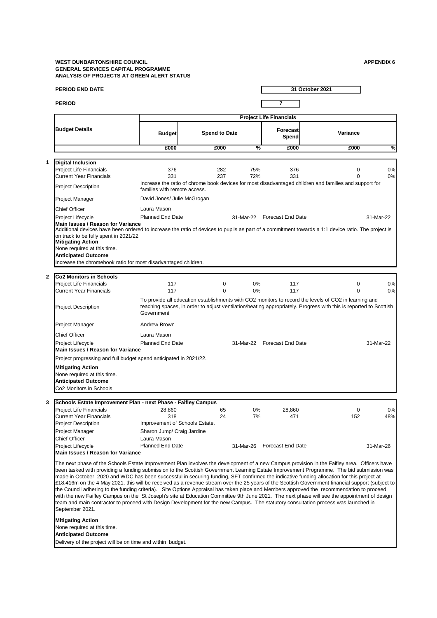#### **WEST DUNBARTONSHIRE COUNCIL APPENDIX 6 GENERAL SERVICES CAPITAL PROGRAMME ANALYSIS OF PROJECTS AT GREEN ALERT STATUS**

| <b>PERIOD</b><br>7<br><b>Project Life Financials</b><br><b>Budget Details</b><br><b>Forecast</b><br>Variance<br><b>Spend to Date</b><br><b>Budget</b><br>Spend<br>£000<br>£000<br>%<br>£000<br>£000<br><b>Digital Inclusion</b><br>1<br><b>Project Life Financials</b><br>282<br>75%<br>376<br>$\mathbf 0$<br>376<br><b>Current Year Financials</b><br>331<br>237<br>72%<br>331<br>Increase the ratio of chrome book devices for most disadvantaged children and families and support for<br><b>Project Description</b><br>families with remote access.<br>David Jones/ Julie McGrogan<br>Project Manager<br><b>Chief Officer</b><br>Laura Mason<br><b>Planned End Date</b><br>31-Mar-22 Forecast End Date<br>Project Lifecycle<br>31-Mar-22<br>Main Issues / Reason for Variance<br>Additional devices have been ordered to increase the ratio of devices to pupils as part of a commitment towards a 1:1 device ratio. The project is<br>on track to be fully spent in 2021/22<br><b>Mitigating Action</b><br>None required at this time.<br><b>Anticipated Outcome</b><br>Increase the chromebook ratio for most disadvantaged children.<br><b>Co2 Monitors in Schools</b><br><b>Project Life Financials</b><br>$\mathbf 0$<br>0%<br>0<br>117<br>117<br><b>Current Year Financials</b><br>117<br>$\Omega$<br>0%<br>117<br>0<br>To provide all education establishments with CO2 monitors to record the levels of CO2 in learning and<br>teaching spaces, in order to adjust ventilation/heating appropriately. Progress with this is reported to Scottish<br><b>Project Description</b><br>Government<br>Andrew Brown<br>Project Manager<br><b>Chief Officer</b><br>Laura Mason<br><b>Planned End Date</b><br>31-Mar-22 Forecast End Date<br>31-Mar-22<br>Project Lifecycle<br>Main Issues / Reason for Variance<br>Project progressing and full budget spend anticipated in 2021/22.<br><b>Mitigating Action</b><br>None required at this time.<br><b>Anticipated Outcome</b><br>Co2 Monitors in Schools<br>Schools Estate Improvement Plan - next Phase - Faifley Campus<br>3<br><b>Project Life Financials</b><br>28,860<br>65<br>0%<br>28,860<br>0<br><b>Current Year Financials</b><br>318<br>24<br>152<br>48%<br>7%<br>471<br>Project Description<br>Improvement of Schools Estate.<br>Project Manager<br>Sharon Jump/ Craig Jardine<br><b>Chief Officer</b><br>Laura Mason<br><b>Planned End Date</b><br>31-Mar-26 Forecast End Date<br>Project Lifecycle<br>31-Mar-26<br>Main Issues / Reason for Variance<br>The next phase of the Schools Estate Improvement Plan involves the development of a new Campus provision in the Faifley area. Officers have<br>been tasked with providing a funding submission to the Scottish Government Learning Estate Improvement Programme. The bid submission was<br>made in October 2020 and WDC has been successful in securing funding, SFT confirmed the indicative funding allocation for this project at<br>£18.416m on the 4 May 2021, this will be received as a revenue stream over the 25 years of the Scottish Government financial support (subject to<br>the Council adhering to the funding criteria). Site Options Appraisal has taken place and Members approved the recommendation to proceed<br>with the new Faifley Campus on the St Joseph's site at Education Committee 9th June 2021. The next phase will see the appointment of design<br>team and main contractor to proceed with Design Development for the new Campus. The statutory consultation process was launched in<br>September 2021.<br><b>Mitigating Action</b><br>None required at this time.<br><b>Anticipated Outcome</b><br>Delivery of the project will be on time and within budget. |              | <b>PERIOD END DATE</b> |  |  | 31 October 2021 |          |
|------------------------------------------------------------------------------------------------------------------------------------------------------------------------------------------------------------------------------------------------------------------------------------------------------------------------------------------------------------------------------------------------------------------------------------------------------------------------------------------------------------------------------------------------------------------------------------------------------------------------------------------------------------------------------------------------------------------------------------------------------------------------------------------------------------------------------------------------------------------------------------------------------------------------------------------------------------------------------------------------------------------------------------------------------------------------------------------------------------------------------------------------------------------------------------------------------------------------------------------------------------------------------------------------------------------------------------------------------------------------------------------------------------------------------------------------------------------------------------------------------------------------------------------------------------------------------------------------------------------------------------------------------------------------------------------------------------------------------------------------------------------------------------------------------------------------------------------------------------------------------------------------------------------------------------------------------------------------------------------------------------------------------------------------------------------------------------------------------------------------------------------------------------------------------------------------------------------------------------------------------------------------------------------------------------------------------------------------------------------------------------------------------------------------------------------------------------------------------------------------------------------------------------------------------------------------------------------------------------------------------------------------------------------------------------------------------------------------------------------------------------------------------------------------------------------------------------------------------------------------------------------------------------------------------------------------------------------------------------------------------------------------------------------------------------------------------------------------------------------------------------------------------------------------------------------------------------------------------------------------------------------------------------------------------------------------------------------------------------------------------------------------------------------------------------------------------------------------------------------------------------------------------------------------------------------------------------------------------------------------------------------------------------------------------------------------------------------------------|--------------|------------------------|--|--|-----------------|----------|
|                                                                                                                                                                                                                                                                                                                                                                                                                                                                                                                                                                                                                                                                                                                                                                                                                                                                                                                                                                                                                                                                                                                                                                                                                                                                                                                                                                                                                                                                                                                                                                                                                                                                                                                                                                                                                                                                                                                                                                                                                                                                                                                                                                                                                                                                                                                                                                                                                                                                                                                                                                                                                                                                                                                                                                                                                                                                                                                                                                                                                                                                                                                                                                                                                                                                                                                                                                                                                                                                                                                                                                                                                                                                                                                              |              |                        |  |  |                 |          |
|                                                                                                                                                                                                                                                                                                                                                                                                                                                                                                                                                                                                                                                                                                                                                                                                                                                                                                                                                                                                                                                                                                                                                                                                                                                                                                                                                                                                                                                                                                                                                                                                                                                                                                                                                                                                                                                                                                                                                                                                                                                                                                                                                                                                                                                                                                                                                                                                                                                                                                                                                                                                                                                                                                                                                                                                                                                                                                                                                                                                                                                                                                                                                                                                                                                                                                                                                                                                                                                                                                                                                                                                                                                                                                                              |              |                        |  |  |                 |          |
|                                                                                                                                                                                                                                                                                                                                                                                                                                                                                                                                                                                                                                                                                                                                                                                                                                                                                                                                                                                                                                                                                                                                                                                                                                                                                                                                                                                                                                                                                                                                                                                                                                                                                                                                                                                                                                                                                                                                                                                                                                                                                                                                                                                                                                                                                                                                                                                                                                                                                                                                                                                                                                                                                                                                                                                                                                                                                                                                                                                                                                                                                                                                                                                                                                                                                                                                                                                                                                                                                                                                                                                                                                                                                                                              |              |                        |  |  |                 |          |
|                                                                                                                                                                                                                                                                                                                                                                                                                                                                                                                                                                                                                                                                                                                                                                                                                                                                                                                                                                                                                                                                                                                                                                                                                                                                                                                                                                                                                                                                                                                                                                                                                                                                                                                                                                                                                                                                                                                                                                                                                                                                                                                                                                                                                                                                                                                                                                                                                                                                                                                                                                                                                                                                                                                                                                                                                                                                                                                                                                                                                                                                                                                                                                                                                                                                                                                                                                                                                                                                                                                                                                                                                                                                                                                              |              |                        |  |  |                 | %        |
|                                                                                                                                                                                                                                                                                                                                                                                                                                                                                                                                                                                                                                                                                                                                                                                                                                                                                                                                                                                                                                                                                                                                                                                                                                                                                                                                                                                                                                                                                                                                                                                                                                                                                                                                                                                                                                                                                                                                                                                                                                                                                                                                                                                                                                                                                                                                                                                                                                                                                                                                                                                                                                                                                                                                                                                                                                                                                                                                                                                                                                                                                                                                                                                                                                                                                                                                                                                                                                                                                                                                                                                                                                                                                                                              |              |                        |  |  |                 |          |
|                                                                                                                                                                                                                                                                                                                                                                                                                                                                                                                                                                                                                                                                                                                                                                                                                                                                                                                                                                                                                                                                                                                                                                                                                                                                                                                                                                                                                                                                                                                                                                                                                                                                                                                                                                                                                                                                                                                                                                                                                                                                                                                                                                                                                                                                                                                                                                                                                                                                                                                                                                                                                                                                                                                                                                                                                                                                                                                                                                                                                                                                                                                                                                                                                                                                                                                                                                                                                                                                                                                                                                                                                                                                                                                              |              |                        |  |  |                 | 0%<br>0% |
|                                                                                                                                                                                                                                                                                                                                                                                                                                                                                                                                                                                                                                                                                                                                                                                                                                                                                                                                                                                                                                                                                                                                                                                                                                                                                                                                                                                                                                                                                                                                                                                                                                                                                                                                                                                                                                                                                                                                                                                                                                                                                                                                                                                                                                                                                                                                                                                                                                                                                                                                                                                                                                                                                                                                                                                                                                                                                                                                                                                                                                                                                                                                                                                                                                                                                                                                                                                                                                                                                                                                                                                                                                                                                                                              |              |                        |  |  |                 |          |
|                                                                                                                                                                                                                                                                                                                                                                                                                                                                                                                                                                                                                                                                                                                                                                                                                                                                                                                                                                                                                                                                                                                                                                                                                                                                                                                                                                                                                                                                                                                                                                                                                                                                                                                                                                                                                                                                                                                                                                                                                                                                                                                                                                                                                                                                                                                                                                                                                                                                                                                                                                                                                                                                                                                                                                                                                                                                                                                                                                                                                                                                                                                                                                                                                                                                                                                                                                                                                                                                                                                                                                                                                                                                                                                              |              |                        |  |  |                 |          |
|                                                                                                                                                                                                                                                                                                                                                                                                                                                                                                                                                                                                                                                                                                                                                                                                                                                                                                                                                                                                                                                                                                                                                                                                                                                                                                                                                                                                                                                                                                                                                                                                                                                                                                                                                                                                                                                                                                                                                                                                                                                                                                                                                                                                                                                                                                                                                                                                                                                                                                                                                                                                                                                                                                                                                                                                                                                                                                                                                                                                                                                                                                                                                                                                                                                                                                                                                                                                                                                                                                                                                                                                                                                                                                                              |              |                        |  |  |                 |          |
|                                                                                                                                                                                                                                                                                                                                                                                                                                                                                                                                                                                                                                                                                                                                                                                                                                                                                                                                                                                                                                                                                                                                                                                                                                                                                                                                                                                                                                                                                                                                                                                                                                                                                                                                                                                                                                                                                                                                                                                                                                                                                                                                                                                                                                                                                                                                                                                                                                                                                                                                                                                                                                                                                                                                                                                                                                                                                                                                                                                                                                                                                                                                                                                                                                                                                                                                                                                                                                                                                                                                                                                                                                                                                                                              |              |                        |  |  |                 |          |
|                                                                                                                                                                                                                                                                                                                                                                                                                                                                                                                                                                                                                                                                                                                                                                                                                                                                                                                                                                                                                                                                                                                                                                                                                                                                                                                                                                                                                                                                                                                                                                                                                                                                                                                                                                                                                                                                                                                                                                                                                                                                                                                                                                                                                                                                                                                                                                                                                                                                                                                                                                                                                                                                                                                                                                                                                                                                                                                                                                                                                                                                                                                                                                                                                                                                                                                                                                                                                                                                                                                                                                                                                                                                                                                              | $\mathbf{2}$ |                        |  |  |                 |          |
|                                                                                                                                                                                                                                                                                                                                                                                                                                                                                                                                                                                                                                                                                                                                                                                                                                                                                                                                                                                                                                                                                                                                                                                                                                                                                                                                                                                                                                                                                                                                                                                                                                                                                                                                                                                                                                                                                                                                                                                                                                                                                                                                                                                                                                                                                                                                                                                                                                                                                                                                                                                                                                                                                                                                                                                                                                                                                                                                                                                                                                                                                                                                                                                                                                                                                                                                                                                                                                                                                                                                                                                                                                                                                                                              |              |                        |  |  |                 | 0%<br>0% |
|                                                                                                                                                                                                                                                                                                                                                                                                                                                                                                                                                                                                                                                                                                                                                                                                                                                                                                                                                                                                                                                                                                                                                                                                                                                                                                                                                                                                                                                                                                                                                                                                                                                                                                                                                                                                                                                                                                                                                                                                                                                                                                                                                                                                                                                                                                                                                                                                                                                                                                                                                                                                                                                                                                                                                                                                                                                                                                                                                                                                                                                                                                                                                                                                                                                                                                                                                                                                                                                                                                                                                                                                                                                                                                                              |              |                        |  |  |                 |          |
|                                                                                                                                                                                                                                                                                                                                                                                                                                                                                                                                                                                                                                                                                                                                                                                                                                                                                                                                                                                                                                                                                                                                                                                                                                                                                                                                                                                                                                                                                                                                                                                                                                                                                                                                                                                                                                                                                                                                                                                                                                                                                                                                                                                                                                                                                                                                                                                                                                                                                                                                                                                                                                                                                                                                                                                                                                                                                                                                                                                                                                                                                                                                                                                                                                                                                                                                                                                                                                                                                                                                                                                                                                                                                                                              |              |                        |  |  |                 |          |
|                                                                                                                                                                                                                                                                                                                                                                                                                                                                                                                                                                                                                                                                                                                                                                                                                                                                                                                                                                                                                                                                                                                                                                                                                                                                                                                                                                                                                                                                                                                                                                                                                                                                                                                                                                                                                                                                                                                                                                                                                                                                                                                                                                                                                                                                                                                                                                                                                                                                                                                                                                                                                                                                                                                                                                                                                                                                                                                                                                                                                                                                                                                                                                                                                                                                                                                                                                                                                                                                                                                                                                                                                                                                                                                              |              |                        |  |  |                 |          |
|                                                                                                                                                                                                                                                                                                                                                                                                                                                                                                                                                                                                                                                                                                                                                                                                                                                                                                                                                                                                                                                                                                                                                                                                                                                                                                                                                                                                                                                                                                                                                                                                                                                                                                                                                                                                                                                                                                                                                                                                                                                                                                                                                                                                                                                                                                                                                                                                                                                                                                                                                                                                                                                                                                                                                                                                                                                                                                                                                                                                                                                                                                                                                                                                                                                                                                                                                                                                                                                                                                                                                                                                                                                                                                                              |              |                        |  |  |                 |          |
|                                                                                                                                                                                                                                                                                                                                                                                                                                                                                                                                                                                                                                                                                                                                                                                                                                                                                                                                                                                                                                                                                                                                                                                                                                                                                                                                                                                                                                                                                                                                                                                                                                                                                                                                                                                                                                                                                                                                                                                                                                                                                                                                                                                                                                                                                                                                                                                                                                                                                                                                                                                                                                                                                                                                                                                                                                                                                                                                                                                                                                                                                                                                                                                                                                                                                                                                                                                                                                                                                                                                                                                                                                                                                                                              |              |                        |  |  |                 |          |
|                                                                                                                                                                                                                                                                                                                                                                                                                                                                                                                                                                                                                                                                                                                                                                                                                                                                                                                                                                                                                                                                                                                                                                                                                                                                                                                                                                                                                                                                                                                                                                                                                                                                                                                                                                                                                                                                                                                                                                                                                                                                                                                                                                                                                                                                                                                                                                                                                                                                                                                                                                                                                                                                                                                                                                                                                                                                                                                                                                                                                                                                                                                                                                                                                                                                                                                                                                                                                                                                                                                                                                                                                                                                                                                              |              |                        |  |  |                 |          |
|                                                                                                                                                                                                                                                                                                                                                                                                                                                                                                                                                                                                                                                                                                                                                                                                                                                                                                                                                                                                                                                                                                                                                                                                                                                                                                                                                                                                                                                                                                                                                                                                                                                                                                                                                                                                                                                                                                                                                                                                                                                                                                                                                                                                                                                                                                                                                                                                                                                                                                                                                                                                                                                                                                                                                                                                                                                                                                                                                                                                                                                                                                                                                                                                                                                                                                                                                                                                                                                                                                                                                                                                                                                                                                                              |              |                        |  |  |                 |          |
|                                                                                                                                                                                                                                                                                                                                                                                                                                                                                                                                                                                                                                                                                                                                                                                                                                                                                                                                                                                                                                                                                                                                                                                                                                                                                                                                                                                                                                                                                                                                                                                                                                                                                                                                                                                                                                                                                                                                                                                                                                                                                                                                                                                                                                                                                                                                                                                                                                                                                                                                                                                                                                                                                                                                                                                                                                                                                                                                                                                                                                                                                                                                                                                                                                                                                                                                                                                                                                                                                                                                                                                                                                                                                                                              |              |                        |  |  |                 | 0%       |
|                                                                                                                                                                                                                                                                                                                                                                                                                                                                                                                                                                                                                                                                                                                                                                                                                                                                                                                                                                                                                                                                                                                                                                                                                                                                                                                                                                                                                                                                                                                                                                                                                                                                                                                                                                                                                                                                                                                                                                                                                                                                                                                                                                                                                                                                                                                                                                                                                                                                                                                                                                                                                                                                                                                                                                                                                                                                                                                                                                                                                                                                                                                                                                                                                                                                                                                                                                                                                                                                                                                                                                                                                                                                                                                              |              |                        |  |  |                 |          |
|                                                                                                                                                                                                                                                                                                                                                                                                                                                                                                                                                                                                                                                                                                                                                                                                                                                                                                                                                                                                                                                                                                                                                                                                                                                                                                                                                                                                                                                                                                                                                                                                                                                                                                                                                                                                                                                                                                                                                                                                                                                                                                                                                                                                                                                                                                                                                                                                                                                                                                                                                                                                                                                                                                                                                                                                                                                                                                                                                                                                                                                                                                                                                                                                                                                                                                                                                                                                                                                                                                                                                                                                                                                                                                                              |              |                        |  |  |                 |          |
|                                                                                                                                                                                                                                                                                                                                                                                                                                                                                                                                                                                                                                                                                                                                                                                                                                                                                                                                                                                                                                                                                                                                                                                                                                                                                                                                                                                                                                                                                                                                                                                                                                                                                                                                                                                                                                                                                                                                                                                                                                                                                                                                                                                                                                                                                                                                                                                                                                                                                                                                                                                                                                                                                                                                                                                                                                                                                                                                                                                                                                                                                                                                                                                                                                                                                                                                                                                                                                                                                                                                                                                                                                                                                                                              |              |                        |  |  |                 |          |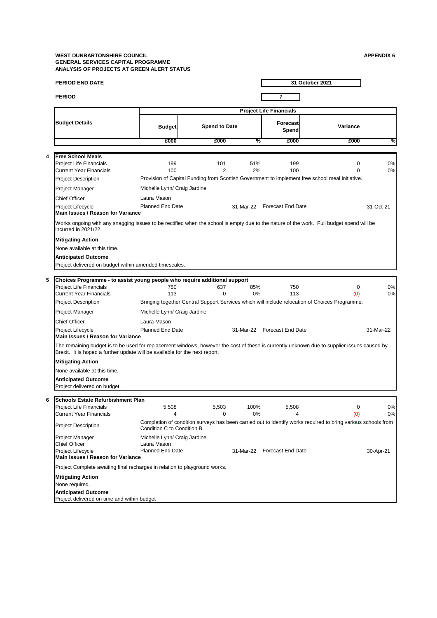#### **WEST DUNBARTONSHIRE COUNCIL APPENDIX 6 GENERAL SERVICES CAPITAL PROGRAMME ANALYSIS OF PROJECTS AT GREEN ALERT STATUS**

|   | PERIOD END DATE                                                                                                                                                                                                            |                                                                        |                       |            |                                | 31 October 2021                                                                                               |           |
|---|----------------------------------------------------------------------------------------------------------------------------------------------------------------------------------------------------------------------------|------------------------------------------------------------------------|-----------------------|------------|--------------------------------|---------------------------------------------------------------------------------------------------------------|-----------|
|   | <b>PERIOD</b>                                                                                                                                                                                                              |                                                                        |                       |            | $\overline{7}$                 |                                                                                                               |           |
|   |                                                                                                                                                                                                                            |                                                                        |                       |            | <b>Project Life Financials</b> |                                                                                                               |           |
|   | <b>Budget Details</b>                                                                                                                                                                                                      | <b>Budget</b>                                                          | <b>Spend to Date</b>  |            | Forecast<br>Spend              | Variance                                                                                                      |           |
|   |                                                                                                                                                                                                                            | £000                                                                   | £000                  | %          | £000                           | £000                                                                                                          | %         |
|   |                                                                                                                                                                                                                            |                                                                        |                       |            |                                |                                                                                                               |           |
| 4 | <b>Free School Meals</b><br><b>Project Life Financials</b><br><b>Current Year Financials</b>                                                                                                                               | 199<br>100                                                             | 101<br>$\overline{2}$ | 51%<br>2%  | 199<br>100                     | 0<br>$\Omega$                                                                                                 | 0%<br>0%  |
|   | <b>Project Description</b>                                                                                                                                                                                                 |                                                                        |                       |            |                                | Provision of Capital Funding from Scottish Government to implement free school meal initiative.               |           |
|   | Project Manager                                                                                                                                                                                                            | Michelle Lynn/ Craig Jardine                                           |                       |            |                                |                                                                                                               |           |
|   | <b>Chief Officer</b>                                                                                                                                                                                                       | Laura Mason                                                            |                       |            |                                |                                                                                                               |           |
|   | Project Lifecycle<br>Main Issues / Reason for Variance                                                                                                                                                                     | <b>Planned End Date</b>                                                |                       |            | 31-Mar-22 Forecast End Date    |                                                                                                               | 31-Oct-21 |
|   | Works ongoing with any snagging issues to be rectified when the school is empty due to the nature of the work. Full budget spend will be<br>incurred in 2021/22.                                                           |                                                                        |                       |            |                                |                                                                                                               |           |
|   | <b>Mitigating Action</b><br>None available at this time.                                                                                                                                                                   |                                                                        |                       |            |                                |                                                                                                               |           |
|   | <b>Anticipated Outcome</b>                                                                                                                                                                                                 |                                                                        |                       |            |                                |                                                                                                               |           |
|   | Project delivered on budget within amended timescales.                                                                                                                                                                     |                                                                        |                       |            |                                |                                                                                                               |           |
| 5 | Choices Programme - to assist young people who require additional support                                                                                                                                                  |                                                                        |                       |            |                                |                                                                                                               |           |
|   | <b>Project Life Financials</b><br><b>Current Year Financials</b>                                                                                                                                                           | 750<br>113                                                             | 637<br>$\Omega$       | 85%<br>0%  | 750<br>113                     | 0<br>(0)                                                                                                      | 0%<br>0%  |
|   | <b>Project Description</b>                                                                                                                                                                                                 |                                                                        |                       |            |                                | Bringing together Central Support Services which will include relocation of Choices Programme.                |           |
|   | Project Manager                                                                                                                                                                                                            | Michelle Lynn/ Craig Jardine                                           |                       |            |                                |                                                                                                               |           |
|   | <b>Chief Officer</b>                                                                                                                                                                                                       | Laura Mason                                                            |                       |            |                                |                                                                                                               |           |
|   | Project Lifecycle<br>Main Issues / Reason for Variance                                                                                                                                                                     | <b>Planned End Date</b>                                                |                       |            | 31-Mar-22 Forecast End Date    |                                                                                                               | 31-Mar-22 |
|   | The remaining budget is to be used for replacement windows, however the cost of these is currently unknown due to supplier issues caused by<br>Brexit. It is hoped a further update will be available for the next report. |                                                                        |                       |            |                                |                                                                                                               |           |
|   | <b>Mitigating Action</b>                                                                                                                                                                                                   |                                                                        |                       |            |                                |                                                                                                               |           |
|   | None available at this time.                                                                                                                                                                                               |                                                                        |                       |            |                                |                                                                                                               |           |
|   | <b>Anticipated Outcome</b><br>Project delivered on budget.                                                                                                                                                                 |                                                                        |                       |            |                                |                                                                                                               |           |
| 6 | <b>Schools Estate Refurbishment Plan</b>                                                                                                                                                                                   |                                                                        |                       |            |                                |                                                                                                               |           |
|   | <b>Project Life Financials</b><br><b>Current Year Financials</b>                                                                                                                                                           | 5,508<br>4                                                             | 5,503<br>0            | 100%<br>0% | 5,508<br>4                     | 0<br>(0)                                                                                                      | 0%<br>0%  |
|   | <b>Project Description</b>                                                                                                                                                                                                 | Condition C to Condition B.                                            |                       |            |                                | Completion of condition surveys has been carried out to identify works required to bring various schools from |           |
|   | Project Manager<br><b>Chief Officer</b><br>Project Lifecycle<br>Main Issues / Reason for Variance                                                                                                                          | Michelle Lynn/ Craig Jardine<br>Laura Mason<br><b>Planned End Date</b> |                       |            | 31-Mar-22 Forecast End Date    |                                                                                                               | 30-Apr-21 |
|   | Project Complete awaiting final recharges in relation to playground works.                                                                                                                                                 |                                                                        |                       |            |                                |                                                                                                               |           |
|   | <b>Mitigating Action</b><br>None required.                                                                                                                                                                                 |                                                                        |                       |            |                                |                                                                                                               |           |
|   | <b>Anticipated Outcome</b><br>Project delivered on time and within budget                                                                                                                                                  |                                                                        |                       |            |                                |                                                                                                               |           |